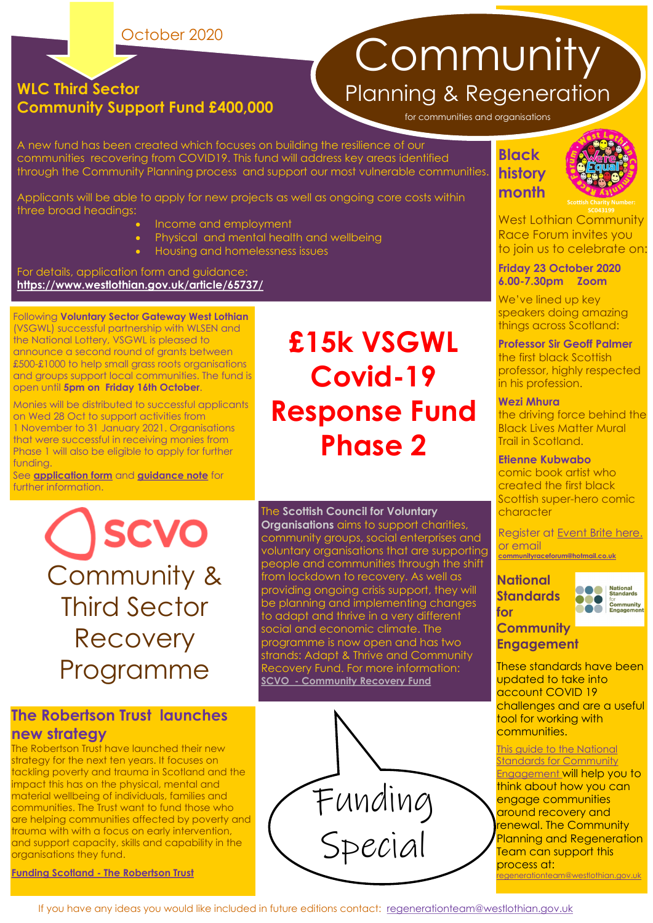October 2020

#### **WLC Third Sector Community Support Fund £400,000**

**Community** Planning & Regeneration

for communities and organisations

A new fund has been created which focuses on building the resilience of our communities recovering from COVID19. This fund will address key areas identified through the Community Planning process and support our most vulnerable communities.

Applicants will be able to apply for new projects as well as ongoing core costs within three broad headings:

- Income and employment
- Physical and mental health and wellbeing
- Housing and homelessness issues

For details, application form and guidance: **<https://www.westlothian.gov.uk/article/65737/>**

Following **Voluntary Sector Gateway West Lothian**  (VSGWL) successful partnership with WLSEN and the National Lottery, VSGWL is pleased to announce a second round of grants between £500-£1000 to help small grass roots organisations and groups support local communities. The fund is open until **5pm on Friday 16th October**.

Monies will be distributed to successful applicants on Wed 28 Oct to support activities from 1 November to 31 January 2021. Organisations that were successful in receiving monies from Phase 1 will also be eligible to apply for further funding.

See **[application form](https://www.123formbuilder.com/form-5653918/)** and **[guidance note](https://www.voluntarysectorgateway.org/uploads/9/2/5/1/92512648/vsgwl_fund_covid_19_guidance__-_phase_2.pdf)** for further information.

> **SCVO** Community & Third Sector **Recovery** Programme

#### **The Robertson Trust launches new strategy**

The Robertson Trust have launched their new strategy for the next ten years. It focuses on tackling poverty and trauma in Scotland and the impact this has on the physical, mental and material wellbeing of individuals, families and communities. The Trust want to fund those who are helping communities affected by poverty and trauma with with a focus on early intervention, and support capacity, skills and capability in the organisations they fund.

**Funding Scotland - [The Robertson Trust](https://fundingscotland.com/news/2020/09/24/the-robertson-trust-launches-new-strategy?utm_source=alert&utm_medium=email)**

### **£15k VSGWL Covid-19 Response Fund Phase 2**

The **Scottish Council for Voluntary** 

**Organisations** aims to support charities, community groups, social enterprises and voluntary organisations that are supporting people and communities through the shift from lockdown to recovery. As well as providing ongoing crisis support, they will be planning and implementing changes to adapt and thrive in a very different social and economic climate. The programme is now open and has two strands: Adapt & Thrive and Community Recovery Fund. For more information: **SCVO - [Community Recovery Fund](https://scvo.org.uk/support/coronavirus/funding/scottish-government/community-recovery)**



#### **Black history month**



West Lothian Community **SC043199**  Race Forum invites you to join us to celebrate on:

**Friday 23 October 2020 6.00-7.30pm Zoom** 

We've lined up key speakers doing amazing things across Scotland:

**Professor Sir Geoff Palmer**  the first black Scottish professor, highly respected in his profession.

#### **Wezi Mhura**

the driving force behind the Black Lives Matter Mural Trail in Scotland.

#### **Etienne Kubwabo**

comic book artist who created the first black Scottish super-hero comic character

Register at [Event Brite here.](https://www.eventbrite.co.uk/e/west-lothian-celebrates-black-history-month-2020-tickets-123034652959?ref=estwhttps://www.eventbrite.co.uk/e/west-lothian-celebrates-black-history-month-2020-tickets-123034652959?ref=estw) or email **[communityraceforum@hotmail.co.uk](mailto:communityraceforum@hotmail.co.uk?subject=Register%20for%20West%20Lothian%20celebrates%20Black%20History%20Month%202020)**

#### **National Standards**



#### **for Community**

**Engagement**  These standards have been

updated to take into account COVID 19 challenges and are a useful tool for working with communities.

**This guide to the National Standards for Community** [Engagement](https://scdc.us19.list-manage.com/track/click?u=4f5385f196c9c37fbbd6edbef&id=dbca0fc706&e=6c3a942082) will help you to think about how you can engage communities around recovery and renewal. The Community Planning and Regeneration Team can support this process at: rtlothian.gov.uk

If you have any ideas you would like included in future editions contact: [regenerationteam@westlothian.gov.uk](mailto:regenerationteam@westlothian.gov.uk)